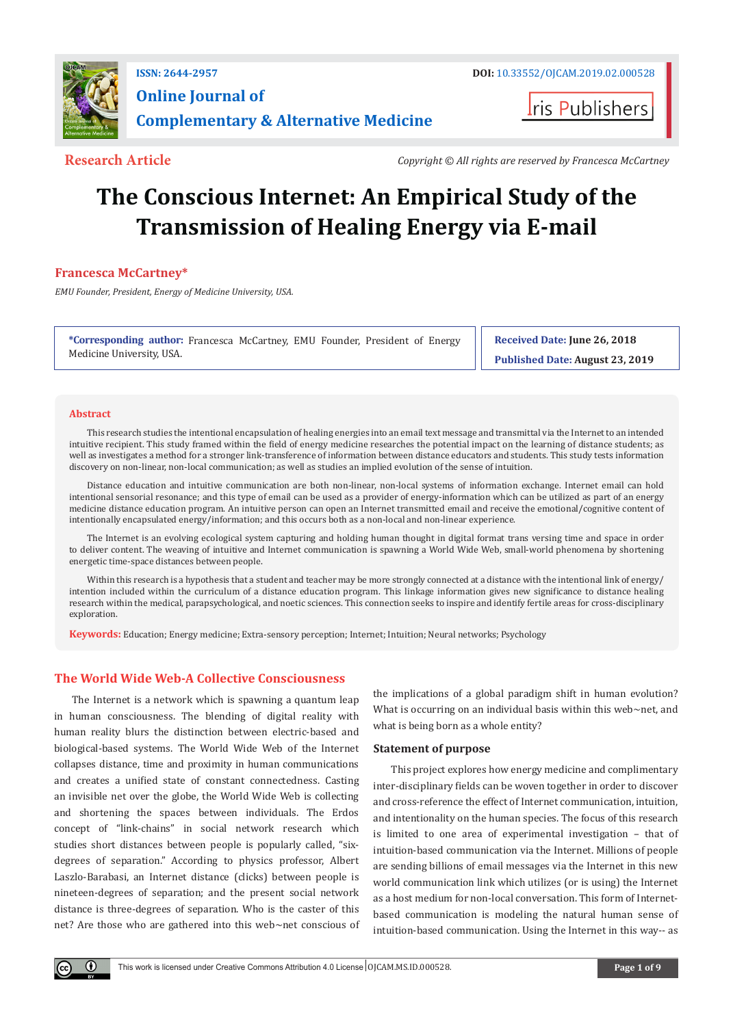

# **Online Journal of Complementary & Alternative Medicine**

**I**ris Publishers

**Research Article** *Copyright © All rights are reserved by Francesca McCartney*

# **The Conscious Internet: An Empirical Study of the Transmission of Healing Energy via E-mail**

**Francesca McCartney\***

*EMU Founder, President, Energy of Medicine University, USA.*

**\*Corresponding author:** Francesca McCartney, EMU Founder, President of Energy Medicine University, USA.

**Received Date: June 26, 2018**

**Published Date: August 23, 2019**

## **Abstract**

 $\bf \Theta$ 

This research studies the intentional encapsulation of healing energies into an email text message and transmittal via the Internet to an intended intuitive recipient. This study framed within the field of energy medicine researches the potential impact on the learning of distance students; as well as investigates a method for a stronger link-transference of information between distance educators and students. This study tests information discovery on non-linear, non-local communication; as well as studies an implied evolution of the sense of intuition.

Distance education and intuitive communication are both non-linear, non-local systems of information exchange. Internet email can hold intentional sensorial resonance; and this type of email can be used as a provider of energy-information which can be utilized as part of an energy medicine distance education program. An intuitive person can open an Internet transmitted email and receive the emotional/cognitive content of intentionally encapsulated energy/information; and this occurs both as a non-local and non-linear experience.

The Internet is an evolving ecological system capturing and holding human thought in digital format trans versing time and space in order to deliver content. The weaving of intuitive and Internet communication is spawning a World Wide Web, small-world phenomena by shortening energetic time-space distances between people.

Within this research is a hypothesis that a student and teacher may be more strongly connected at a distance with the intentional link of energy/ intention included within the curriculum of a distance education program. This linkage information gives new significance to distance healing research within the medical, parapsychological, and noetic sciences. This connection seeks to inspire and identify fertile areas for cross-disciplinary exploration.

**Keywords:** Education; Energy medicine; Extra-sensory perception; Internet; Intuition; Neural networks; Psychology

# **The World Wide Web-A Collective Consciousness**

The Internet is a network which is spawning a quantum leap in human consciousness. The blending of digital reality with human reality blurs the distinction between electric-based and biological-based systems. The World Wide Web of the Internet collapses distance, time and proximity in human communications and creates a unified state of constant connectedness. Casting an invisible net over the globe, the World Wide Web is collecting and shortening the spaces between individuals. The Erdos concept of "link-chains" in social network research which studies short distances between people is popularly called, "sixdegrees of separation." According to physics professor, Albert Laszlo-Barabasi, an Internet distance (clicks) between people is nineteen-degrees of separation; and the present social network distance is three-degrees of separation. Who is the caster of this net? Are those who are gathered into this web~net conscious of the implications of a global paradigm shift in human evolution? What is occurring on an individual basis within this web~net, and what is being born as a whole entity?

## **Statement of purpose**

This project explores how energy medicine and complimentary inter-disciplinary fields can be woven together in order to discover and cross-reference the effect of Internet communication, intuition, and intentionality on the human species. The focus of this research is limited to one area of experimental investigation – that of intuition-based communication via the Internet. Millions of people are sending billions of email messages via the Internet in this new world communication link which utilizes (or is using) the Internet as a host medium for non-local conversation. This form of Internetbased communication is modeling the natural human sense of intuition-based communication. Using the Internet in this way-- as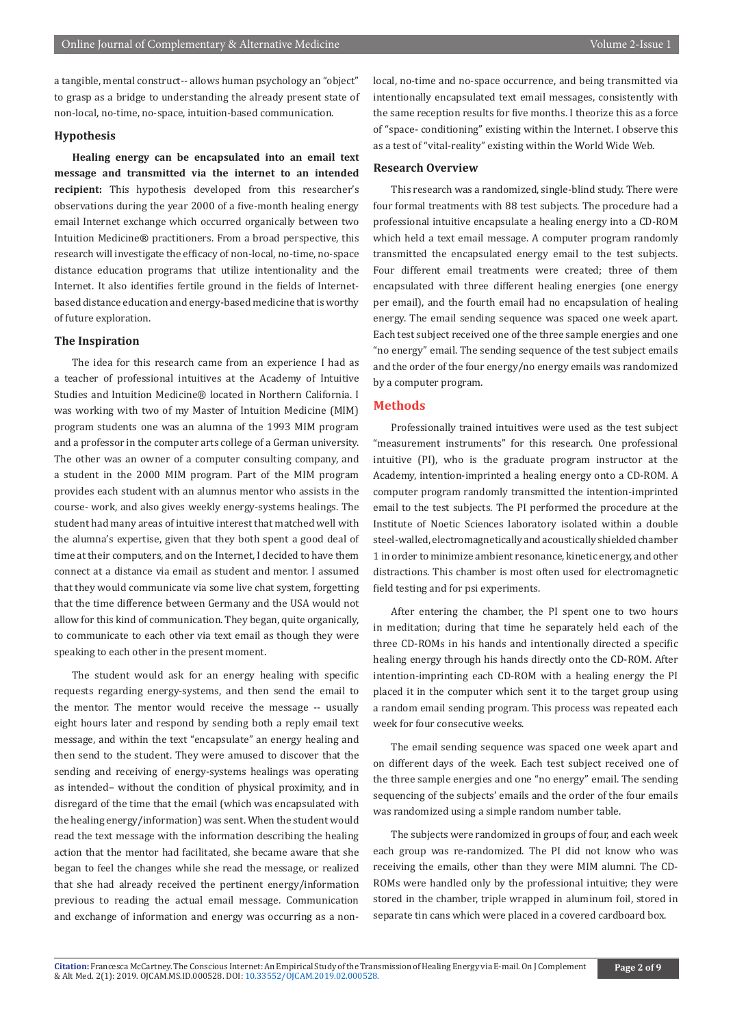a tangible, mental construct-- allows human psychology an "object" to grasp as a bridge to understanding the already present state of non-local, no-time, no-space, intuition-based communication.

#### **Hypothesis**

**Healing energy can be encapsulated into an email text message and transmitted via the internet to an intended recipient:** This hypothesis developed from this researcher's observations during the year 2000 of a five-month healing energy email Internet exchange which occurred organically between two Intuition Medicine® practitioners. From a broad perspective, this research will investigate the efficacy of non-local, no-time, no-space distance education programs that utilize intentionality and the Internet. It also identifies fertile ground in the fields of Internetbased distance education and energy-based medicine that is worthy of future exploration.

# **The Inspiration**

The idea for this research came from an experience I had as a teacher of professional intuitives at the Academy of Intuitive Studies and Intuition Medicine® located in Northern California. I was working with two of my Master of Intuition Medicine (MIM) program students one was an alumna of the 1993 MIM program and a professor in the computer arts college of a German university. The other was an owner of a computer consulting company, and a student in the 2000 MIM program. Part of the MIM program provides each student with an alumnus mentor who assists in the course- work, and also gives weekly energy-systems healings. The student had many areas of intuitive interest that matched well with the alumna's expertise, given that they both spent a good deal of time at their computers, and on the Internet, I decided to have them connect at a distance via email as student and mentor. I assumed that they would communicate via some live chat system, forgetting that the time difference between Germany and the USA would not allow for this kind of communication. They began, quite organically, to communicate to each other via text email as though they were speaking to each other in the present moment.

The student would ask for an energy healing with specific requests regarding energy-systems, and then send the email to the mentor. The mentor would receive the message -- usually eight hours later and respond by sending both a reply email text message, and within the text "encapsulate" an energy healing and then send to the student. They were amused to discover that the sending and receiving of energy-systems healings was operating as intended– without the condition of physical proximity, and in disregard of the time that the email (which was encapsulated with the healing energy/information) was sent. When the student would read the text message with the information describing the healing action that the mentor had facilitated, she became aware that she began to feel the changes while she read the message, or realized that she had already received the pertinent energy/information previous to reading the actual email message. Communication and exchange of information and energy was occurring as a non-

local, no-time and no-space occurrence, and being transmitted via intentionally encapsulated text email messages, consistently with the same reception results for five months. I theorize this as a force of "space- conditioning" existing within the Internet. I observe this as a test of "vital-reality" existing within the World Wide Web.

# **Research Overview**

This research was a randomized, single-blind study. There were four formal treatments with 88 test subjects. The procedure had a professional intuitive encapsulate a healing energy into a CD-ROM which held a text email message. A computer program randomly transmitted the encapsulated energy email to the test subjects. Four different email treatments were created; three of them encapsulated with three different healing energies (one energy per email), and the fourth email had no encapsulation of healing energy. The email sending sequence was spaced one week apart. Each test subject received one of the three sample energies and one "no energy" email. The sending sequence of the test subject emails and the order of the four energy/no energy emails was randomized by a computer program.

#### **Methods**

Professionally trained intuitives were used as the test subject "measurement instruments" for this research. One professional intuitive (PI), who is the graduate program instructor at the Academy, intention-imprinted a healing energy onto a CD-ROM. A computer program randomly transmitted the intention-imprinted email to the test subjects. The PI performed the procedure at the Institute of Noetic Sciences laboratory isolated within a double steel-walled, electromagnetically and acoustically shielded chamber 1 in order to minimize ambient resonance, kinetic energy, and other distractions. This chamber is most often used for electromagnetic field testing and for psi experiments.

After entering the chamber, the PI spent one to two hours in meditation; during that time he separately held each of the three CD-ROMs in his hands and intentionally directed a specific healing energy through his hands directly onto the CD-ROM. After intention-imprinting each CD-ROM with a healing energy the PI placed it in the computer which sent it to the target group using a random email sending program. This process was repeated each week for four consecutive weeks.

The email sending sequence was spaced one week apart and on different days of the week. Each test subject received one of the three sample energies and one "no energy" email. The sending sequencing of the subjects' emails and the order of the four emails was randomized using a simple random number table.

The subjects were randomized in groups of four, and each week each group was re-randomized. The PI did not know who was receiving the emails, other than they were MIM alumni. The CD-ROMs were handled only by the professional intuitive; they were stored in the chamber, triple wrapped in aluminum foil, stored in separate tin cans which were placed in a covered cardboard box.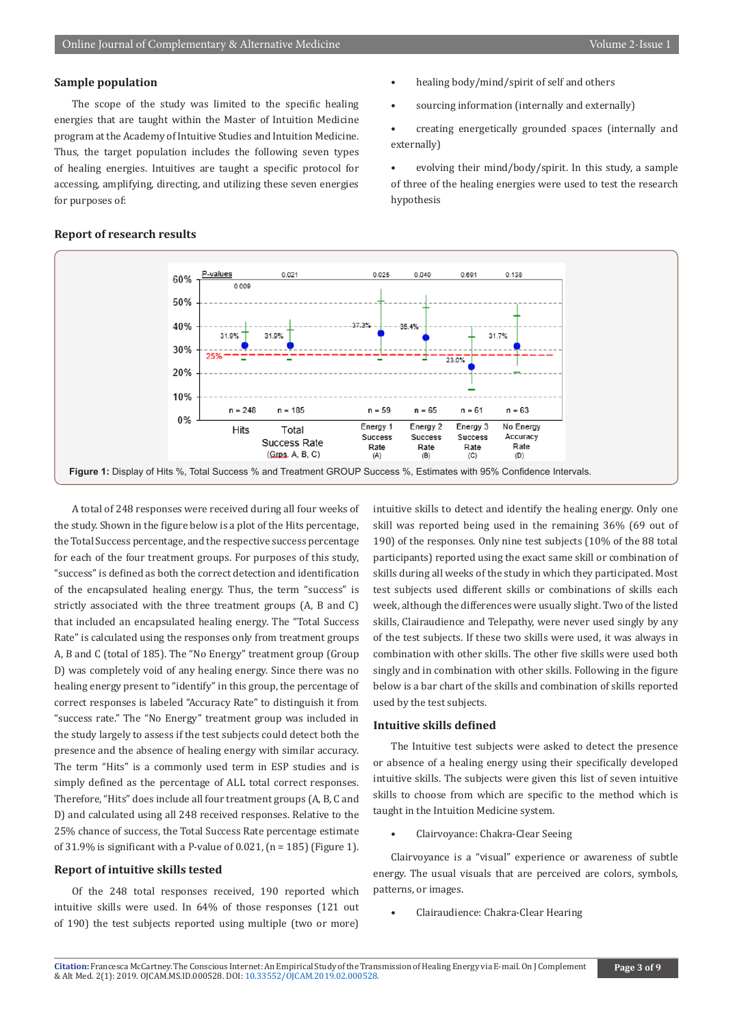#### **Sample population**

The scope of the study was limited to the specific healing energies that are taught within the Master of Intuition Medicine program at the Academy of Intuitive Studies and Intuition Medicine. Thus, the target population includes the following seven types of healing energies. Intuitives are taught a specific protocol for accessing, amplifying, directing, and utilizing these seven energies for purposes of:

- healing body/mind/spirit of self and others
- sourcing information (internally and externally)
- creating energetically grounded spaces (internally and externally)
- evolving their mind/body/spirit. In this study, a sample of three of the healing energies were used to test the research hypothesis



A total of 248 responses were received during all four weeks of the study. Shown in the figure below is a plot of the Hits percentage, the Total Success percentage, and the respective success percentage for each of the four treatment groups. For purposes of this study, "success" is defined as both the correct detection and identification of the encapsulated healing energy. Thus, the term "success" is strictly associated with the three treatment groups (A, B and C) that included an encapsulated healing energy. The "Total Success Rate" is calculated using the responses only from treatment groups A, B and C (total of 185). The "No Energy" treatment group (Group D) was completely void of any healing energy. Since there was no healing energy present to "identify" in this group, the percentage of correct responses is labeled "Accuracy Rate" to distinguish it from "success rate." The "No Energy" treatment group was included in the study largely to assess if the test subjects could detect both the presence and the absence of healing energy with similar accuracy. The term "Hits" is a commonly used term in ESP studies and is simply defined as the percentage of ALL total correct responses. Therefore, "Hits" does include all four treatment groups (A, B, C and D) and calculated using all 248 received responses. Relative to the 25% chance of success, the Total Success Rate percentage estimate of 31.9% is significant with a P-value of 0.021,  $(n = 185)$  (Figure 1).

#### **Report of intuitive skills tested**

Of the 248 total responses received, 190 reported which intuitive skills were used. In 64% of those responses (121 out of 190) the test subjects reported using multiple (two or more)

intuitive skills to detect and identify the healing energy. Only one skill was reported being used in the remaining 36% (69 out of 190) of the responses. Only nine test subjects (10% of the 88 total participants) reported using the exact same skill or combination of skills during all weeks of the study in which they participated. Most test subjects used different skills or combinations of skills each week, although the differences were usually slight. Two of the listed skills, Clairaudience and Telepathy, were never used singly by any of the test subjects. If these two skills were used, it was always in combination with other skills. The other five skills were used both singly and in combination with other skills. Following in the figure below is a bar chart of the skills and combination of skills reported used by the test subjects.

#### **Intuitive skills defined**

The Intuitive test subjects were asked to detect the presence or absence of a healing energy using their specifically developed intuitive skills. The subjects were given this list of seven intuitive skills to choose from which are specific to the method which is taught in the Intuition Medicine system.

• Clairvoyance: Chakra-Clear Seeing

Clairvoyance is a "visual" experience or awareness of subtle energy. The usual visuals that are perceived are colors, symbols, patterns, or images.

• Clairaudience: Chakra-Clear Hearing

# **Report of research results**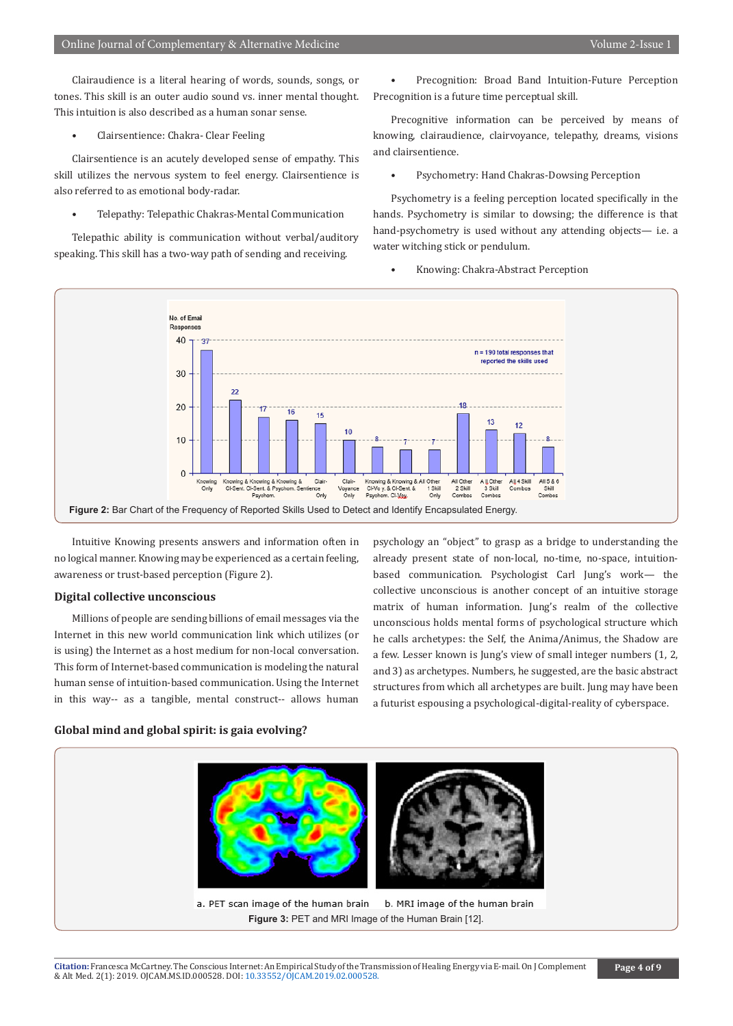Clairaudience is a literal hearing of words, sounds, songs, or tones. This skill is an outer audio sound vs. inner mental thought. This intuition is also described as a human sonar sense.

• Clairsentience: Chakra- Clear Feeling

Clairsentience is an acutely developed sense of empathy. This skill utilizes the nervous system to feel energy. Clairsentience is also referred to as emotional body-radar.

• Telepathy: Telepathic Chakras-Mental Communication

Telepathic ability is communication without verbal/auditory speaking. This skill has a two-way path of sending and receiving.

• Precognition: Broad Band Intuition-Future Perception Precognition is a future time perceptual skill.

Precognitive information can be perceived by means of knowing, clairaudience, clairvoyance, telepathy, dreams, visions and clairsentience.

• Psychometry: Hand Chakras-Dowsing Perception

Psychometry is a feeling perception located specifically in the hands. Psychometry is similar to dowsing; the difference is that hand-psychometry is used without any attending objects— i.e. a water witching stick or pendulum.

• Knowing: Chakra-Abstract Perception



Intuitive Knowing presents answers and information often in no logical manner. Knowing may be experienced as a certain feeling, awareness or trust-based perception (Figure 2).

#### **Digital collective unconscious**

Millions of people are sending billions of email messages via the Internet in this new world communication link which utilizes (or is using) the Internet as a host medium for non-local conversation. This form of Internet-based communication is modeling the natural human sense of intuition-based communication. Using the Internet in this way-- as a tangible, mental construct-- allows human

psychology an "object" to grasp as a bridge to understanding the already present state of non-local, no-time, no-space, intuitionbased communication. Psychologist Carl Jung's work— the collective unconscious is another concept of an intuitive storage matrix of human information. Jung's realm of the collective unconscious holds mental forms of psychological structure which he calls archetypes: the Self, the Anima/Animus, the Shadow are a few. Lesser known is Jung's view of small integer numbers (1, 2, and 3) as archetypes. Numbers, he suggested, are the basic abstract structures from which all archetypes are built. Jung may have been a futurist espousing a psychological-digital-reality of cyberspace.

# **Global mind and global spirit: is gaia evolving?**

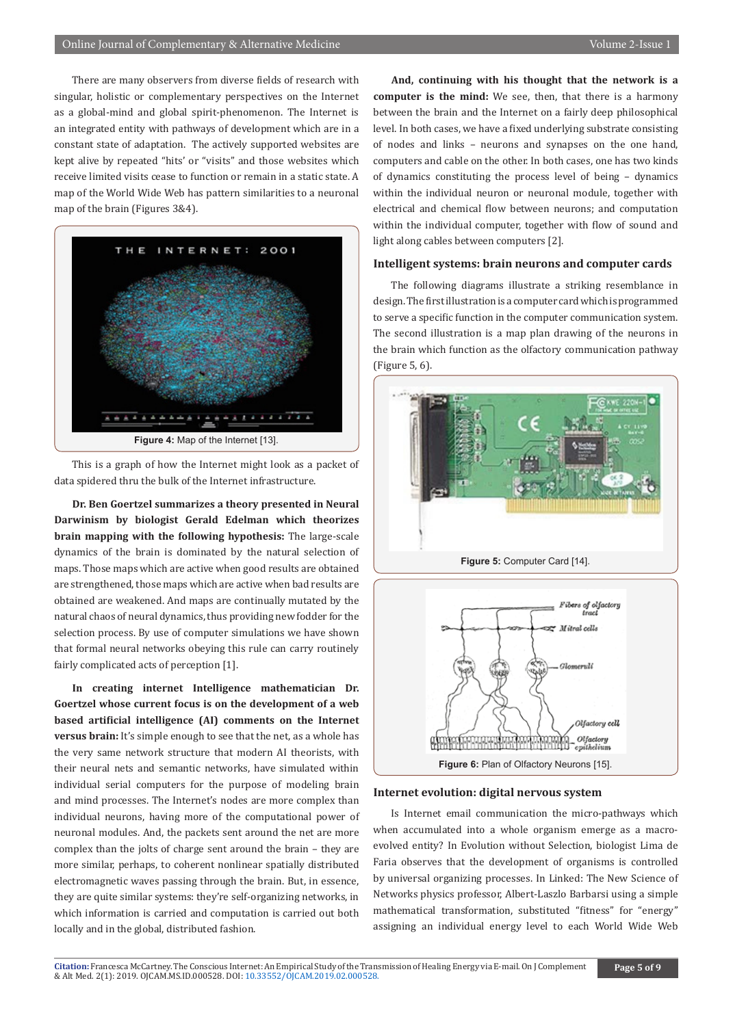There are many observers from diverse fields of research with singular, holistic or complementary perspectives on the Internet as a global-mind and global spirit-phenomenon. The Internet is an integrated entity with pathways of development which are in a constant state of adaptation. The actively supported websites are kept alive by repeated "hits' or "visits" and those websites which receive limited visits cease to function or remain in a static state. A map of the World Wide Web has pattern similarities to a neuronal map of the brain (Figures 3&4).



This is a graph of how the Internet might look as a packet of data spidered thru the bulk of the Internet infrastructure.

**Dr. Ben Goertzel summarizes a theory presented in Neural Darwinism by biologist Gerald Edelman which theorizes brain mapping with the following hypothesis:** The large-scale dynamics of the brain is dominated by the natural selection of maps. Those maps which are active when good results are obtained are strengthened, those maps which are active when bad results are obtained are weakened. And maps are continually mutated by the natural chaos of neural dynamics, thus providing new fodder for the selection process. By use of computer simulations we have shown that formal neural networks obeying this rule can carry routinely fairly complicated acts of perception [1].

**In creating internet Intelligence mathematician Dr. Goertzel whose current focus is on the development of a web based artificial intelligence (AI) comments on the Internet versus brain:** It's simple enough to see that the net, as a whole has the very same network structure that modern AI theorists, with their neural nets and semantic networks, have simulated within individual serial computers for the purpose of modeling brain and mind processes. The Internet's nodes are more complex than individual neurons, having more of the computational power of neuronal modules. And, the packets sent around the net are more complex than the jolts of charge sent around the brain – they are more similar, perhaps, to coherent nonlinear spatially distributed electromagnetic waves passing through the brain. But, in essence, they are quite similar systems: they're self-organizing networks, in which information is carried and computation is carried out both locally and in the global, distributed fashion.

**And, continuing with his thought that the network is a computer is the mind:** We see, then, that there is a harmony between the brain and the Internet on a fairly deep philosophical level. In both cases, we have a fixed underlying substrate consisting of nodes and links – neurons and synapses on the one hand, computers and cable on the other. In both cases, one has two kinds of dynamics constituting the process level of being – dynamics within the individual neuron or neuronal module, together with electrical and chemical flow between neurons; and computation within the individual computer, together with flow of sound and light along cables between computers [2].

#### **Intelligent systems: brain neurons and computer cards**

The following diagrams illustrate a striking resemblance in design. The first illustration is a computer card which is programmed to serve a specific function in the computer communication system. The second illustration is a map plan drawing of the neurons in the brain which function as the olfactory communication pathway (Figure 5, 6).



**Figure 6:** Plan of Olfactory Neurons [15].

#### **Internet evolution: digital nervous system**

Is Internet email communication the micro-pathways which when accumulated into a whole organism emerge as a macroevolved entity? In Evolution without Selection, biologist Lima de Faria observes that the development of organisms is controlled by universal organizing processes. In Linked: The New Science of Networks physics professor, Albert-Laszlo Barbarsi using a simple mathematical transformation, substituted "fitness" for "energy" assigning an individual energy level to each World Wide Web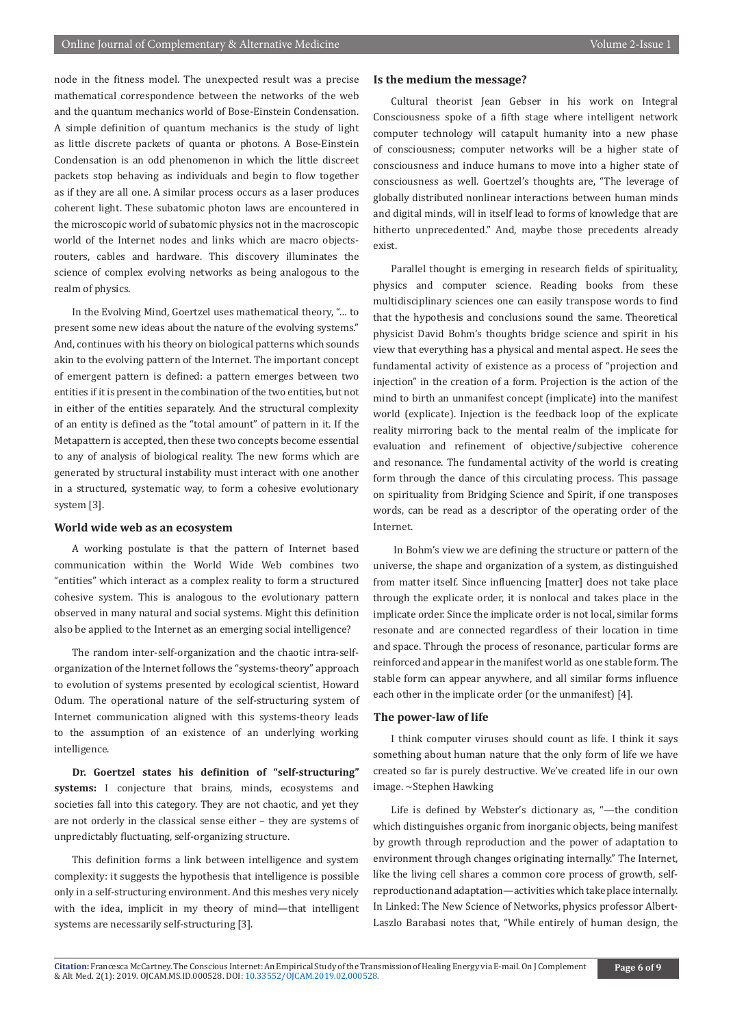node in the fitness model. The unexpected result was a precise mathematical correspondence between the networks of the web and the quantum mechanics world of Bose-Einstein Condensation. A simple definition of quantum mechanics is the study of light as little discrete packets of quanta or photons. A Bose-Einstein Condensation is an odd phenomenon in which the little discreet packets stop behaving as individuals and begin to flow together as if they are all one. A similar process occurs as a laser produces coherent light. These subatomic photon laws are encountered in the microscopic world of subatomic physics not in the macroscopic world of the Internet nodes and links which are macro objectsrouters, cables and hardware. This discovery illuminates the science of complex evolving networks as being analogous to the realm of physics.

In the Evolving Mind, Goertzel uses mathematical theory, "… to present some new ideas about the nature of the evolving systems." And, continues with his theory on biological patterns which sounds akin to the evolving pattern of the Internet. The important concept of emergent pattern is defined: a pattern emerges between two entities if it is present in the combination of the two entities, but not in either of the entities separately. And the structural complexity of an entity is defined as the "total amount" of pattern in it. If the Metapattern is accepted, then these two concepts become essential to any of analysis of biological reality. The new forms which are generated by structural instability must interact with one another in a structured, systematic way, to form a cohesive evolutionary system [3].

# **World wide web as an ecosystem**

A working postulate is that the pattern of Internet based communication within the World Wide Web combines two "entities" which interact as a complex reality to form a structured cohesive system. This is analogous to the evolutionary pattern observed in many natural and social systems. Might this definition also be applied to the Internet as an emerging social intelligence?

The random inter-self-organization and the chaotic intra-selforganization of the Internet follows the "systems-theory" approach to evolution of systems presented by ecological scientist, Howard Odum. The operational nature of the self-structuring system of Internet communication aligned with this systems-theory leads to the assumption of an existence of an underlying working intelligence.

**Dr. Goertzel states his definition of "self-structuring" systems:** I conjecture that brains, minds, ecosystems and societies fall into this category. They are not chaotic, and yet they are not orderly in the classical sense either – they are systems of unpredictably fluctuating, self-organizing structure.

This definition forms a link between intelligence and system complexity: it suggests the hypothesis that intelligence is possible only in a self-structuring environment. And this meshes very nicely with the idea, implicit in my theory of mind—that intelligent systems are necessarily self-structuring [3].

# **Is the medium the message?**

Cultural theorist Jean Gebser in his work on Integral Consciousness spoke of a fifth stage where intelligent network computer technology will catapult humanity into a new phase of consciousness; computer networks will be a higher state of consciousness and induce humans to move into a higher state of consciousness as well. Goertzel's thoughts are, "The leverage of globally distributed nonlinear interactions between human minds and digital minds, will in itself lead to forms of knowledge that are hitherto unprecedented." And, maybe those precedents already exist.

Parallel thought is emerging in research fields of spirituality, physics and computer science. Reading books from these multidisciplinary sciences one can easily transpose words to find that the hypothesis and conclusions sound the same. Theoretical physicist David Bohm's thoughts bridge science and spirit in his view that everything has a physical and mental aspect. He sees the fundamental activity of existence as a process of "projection and injection" in the creation of a form. Projection is the action of the mind to birth an unmanifest concept (implicate) into the manifest world (explicate). Injection is the feedback loop of the explicate reality mirroring back to the mental realm of the implicate for evaluation and refinement of objective/subjective coherence and resonance. The fundamental activity of the world is creating form through the dance of this circulating process. This passage on spirituality from Bridging Science and Spirit, if one transposes words, can be read as a descriptor of the operating order of the Internet.

 In Bohm's view we are defining the structure or pattern of the universe, the shape and organization of a system, as distinguished from matter itself. Since influencing [matter] does not take place through the explicate order, it is nonlocal and takes place in the implicate order. Since the implicate order is not local, similar forms resonate and are connected regardless of their location in time and space. Through the process of resonance, particular forms are reinforced and appear in the manifest world as one stable form. The stable form can appear anywhere, and all similar forms influence each other in the implicate order (or the unmanifest) [4].

#### **The power-law of life**

I think computer viruses should count as life. I think it says something about human nature that the only form of life we have created so far is purely destructive. We've created life in our own image. ~Stephen Hawking

Life is defined by Webster's dictionary as, "—the condition which distinguishes organic from inorganic objects, being manifest by growth through reproduction and the power of adaptation to environment through changes originating internally." The Internet, like the living cell shares a common core process of growth, selfreproduction and adaptation—activities which take place internally. In Linked: The New Science of Networks, physics professor Albert-Laszlo Barabasi notes that, "While entirely of human design, the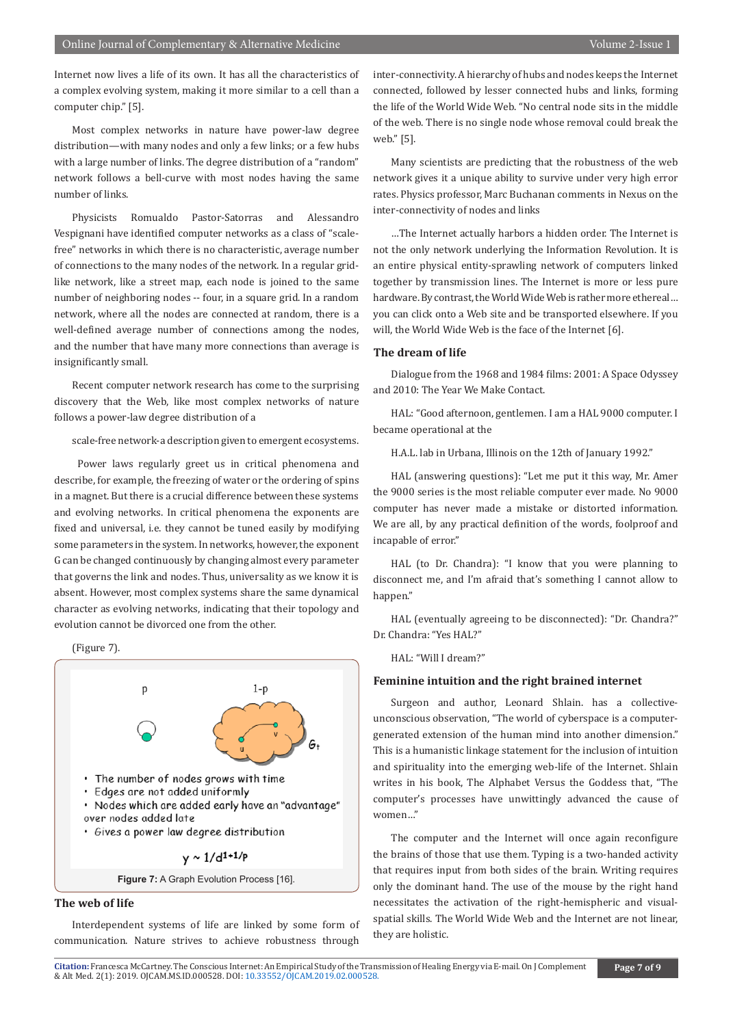Internet now lives a life of its own. It has all the characteristics of a complex evolving system, making it more similar to a cell than a computer chip." [5].

Most complex networks in nature have power-law degree distribution—with many nodes and only a few links; or a few hubs with a large number of links. The degree distribution of a "random" network follows a bell-curve with most nodes having the same number of links.

Physicists Romualdo Pastor-Satorras and Alessandro Vespignani have identified computer networks as a class of "scalefree" networks in which there is no characteristic, average number of connections to the many nodes of the network. In a regular gridlike network, like a street map, each node is joined to the same number of neighboring nodes -- four, in a square grid. In a random network, where all the nodes are connected at random, there is a well-defined average number of connections among the nodes, and the number that have many more connections than average is insignificantly small.

Recent computer network research has come to the surprising discovery that the Web, like most complex networks of nature follows a power-law degree distribution of a

scale-free network-a description given to emergent ecosystems.

 Power laws regularly greet us in critical phenomena and describe, for example, the freezing of water or the ordering of spins in a magnet. But there is a crucial difference between these systems and evolving networks. In critical phenomena the exponents are fixed and universal, i.e. they cannot be tuned easily by modifying some parameters in the system. In networks, however, the exponent G can be changed continuously by changing almost every parameter that governs the link and nodes. Thus, universality as we know it is absent. However, most complex systems share the same dynamical character as evolving networks, indicating that their topology and evolution cannot be divorced one from the other.

(Figure 7).



**The web of life**

Interdependent systems of life are linked by some form of communication. Nature strives to achieve robustness through

inter-connectivity. A hierarchy of hubs and nodes keeps the Internet connected, followed by lesser connected hubs and links, forming the life of the World Wide Web. "No central node sits in the middle of the web. There is no single node whose removal could break the web." [5].

Many scientists are predicting that the robustness of the web network gives it a unique ability to survive under very high error rates. Physics professor, Marc Buchanan comments in Nexus on the inter-connectivity of nodes and links

…The Internet actually harbors a hidden order. The Internet is not the only network underlying the Information Revolution. It is an entire physical entity-sprawling network of computers linked together by transmission lines. The Internet is more or less pure hardware. By contrast, the World Wide Web is rather more ethereal… you can click onto a Web site and be transported elsewhere. If you will, the World Wide Web is the face of the Internet [6].

#### **The dream of life**

Dialogue from the 1968 and 1984 films: 2001: A Space Odyssey and 2010: The Year We Make Contact.

HAL: "Good afternoon, gentlemen. I am a HAL 9000 computer. I became operational at the

H.A.L. lab in Urbana, Illinois on the 12th of January 1992."

HAL (answering questions): "Let me put it this way, Mr. Amer the 9000 series is the most reliable computer ever made. No 9000 computer has never made a mistake or distorted information. We are all, by any practical definition of the words, foolproof and incapable of error."

HAL (to Dr. Chandra): "I know that you were planning to disconnect me, and I'm afraid that's something I cannot allow to happen."

HAL (eventually agreeing to be disconnected): "Dr. Chandra?" Dr. Chandra: "Yes HAL?"

HAL: "Will I dream?"

#### **Feminine intuition and the right brained internet**

Surgeon and author, Leonard Shlain. has a collectiveunconscious observation, "The world of cyberspace is a computergenerated extension of the human mind into another dimension." This is a humanistic linkage statement for the inclusion of intuition and spirituality into the emerging web-life of the Internet. Shlain writes in his book, The Alphabet Versus the Goddess that, "The computer's processes have unwittingly advanced the cause of women…"

The computer and the Internet will once again reconfigure the brains of those that use them. Typing is a two-handed activity that requires input from both sides of the brain. Writing requires only the dominant hand. The use of the mouse by the right hand necessitates the activation of the right-hemispheric and visualspatial skills. The World Wide Web and the Internet are not linear, they are holistic.

**Citation:** Francesca McCartney. The Conscious Inte[rnet: An Empirical Study of the Tra](http://dx.doi.org/10.33552/OJCAM.2019.02.000528)nsmission of Healing Energy via E-mail. On J Complement & Alt Med. 2(1): 2019. OJCAM.MS.ID.000528. DOI: 10.33552/OJCAM.2019.02.000528.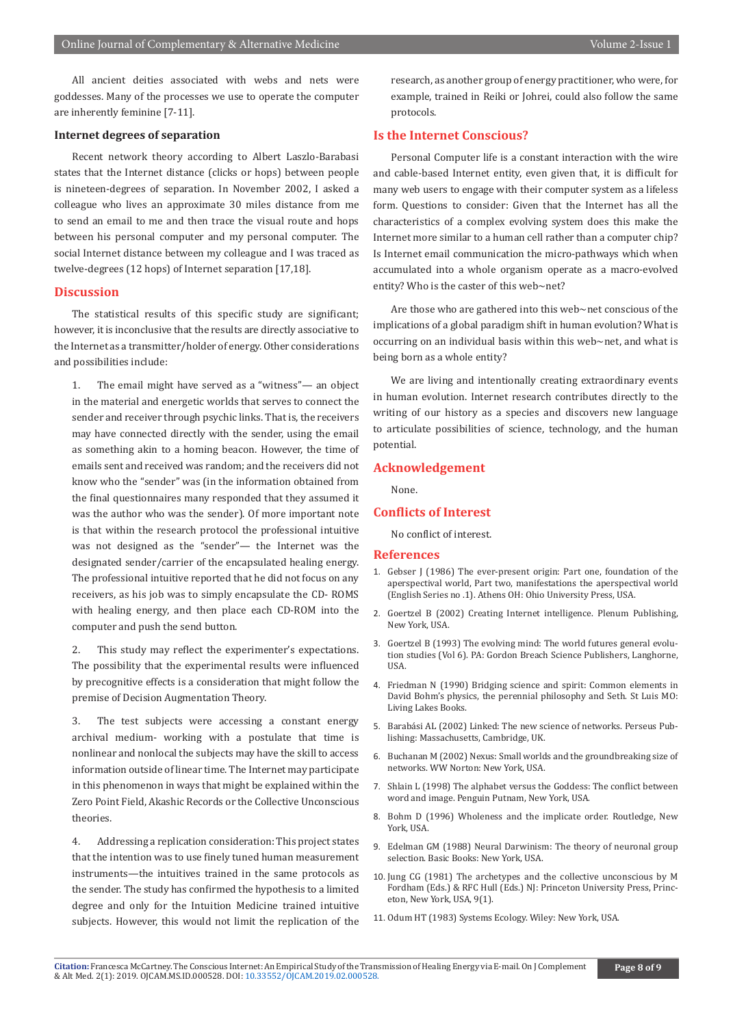All ancient deities associated with webs and nets were goddesses. Many of the processes we use to operate the computer are inherently feminine [7-11].

#### **Internet degrees of separation**

Recent network theory according to Albert Laszlo-Barabasi states that the Internet distance (clicks or hops) between people is nineteen-degrees of separation. In November 2002, I asked a colleague who lives an approximate 30 miles distance from me to send an email to me and then trace the visual route and hops between his personal computer and my personal computer. The social Internet distance between my colleague and I was traced as twelve-degrees (12 hops) of Internet separation [17,18].

#### **Discussion**

The statistical results of this specific study are significant; however, it is inconclusive that the results are directly associative to the Internet as a transmitter/holder of energy. Other considerations and possibilities include:

1. The email might have served as a "witness"— an object in the material and energetic worlds that serves to connect the sender and receiver through psychic links. That is, the receivers may have connected directly with the sender, using the email as something akin to a homing beacon. However, the time of emails sent and received was random; and the receivers did not know who the "sender" was (in the information obtained from the final questionnaires many responded that they assumed it was the author who was the sender). Of more important note is that within the research protocol the professional intuitive was not designed as the "sender"— the Internet was the designated sender/carrier of the encapsulated healing energy. The professional intuitive reported that he did not focus on any receivers, as his job was to simply encapsulate the CD- ROMS with healing energy, and then place each CD-ROM into the computer and push the send button.

2. This study may reflect the experimenter's expectations. The possibility that the experimental results were influenced by precognitive effects is a consideration that might follow the premise of Decision Augmentation Theory.

3. The test subjects were accessing a constant energy archival medium- working with a postulate that time is nonlinear and nonlocal the subjects may have the skill to access information outside of linear time. The Internet may participate in this phenomenon in ways that might be explained within the Zero Point Field, Akashic Records or the Collective Unconscious theories.

4. Addressing a replication consideration: This project states that the intention was to use finely tuned human measurement instruments—the intuitives trained in the same protocols as the sender. The study has confirmed the hypothesis to a limited degree and only for the Intuition Medicine trained intuitive subjects. However, this would not limit the replication of the

research, as another group of energy practitioner, who were, for example, trained in Reiki or Johrei, could also follow the same protocols.

#### **Is the Internet Conscious?**

Personal Computer life is a constant interaction with the wire and cable-based Internet entity, even given that, it is difficult for many web users to engage with their computer system as a lifeless form. Questions to consider: Given that the Internet has all the characteristics of a complex evolving system does this make the Internet more similar to a human cell rather than a computer chip? Is Internet email communication the micro-pathways which when accumulated into a whole organism operate as a macro-evolved entity? Who is the caster of this web~net?

Are those who are gathered into this web~net conscious of the implications of a global paradigm shift in human evolution? What is occurring on an individual basis within this web~net, and what is being born as a whole entity?

We are living and intentionally creating extraordinary events in human evolution. Internet research contributes directly to the writing of our history as a species and discovers new language to articulate possibilities of science, technology, and the human potential.

#### **Acknowledgement**

None.

#### **Conflicts of Interest**

No conflict of interest.

#### **References**

- 1. Gebser J (1986) The ever-present origin: Part one, foundation of the aperspectival world, Part two, manifestations the aperspectival world (English Series no .1). Athens OH: Ohio University Press, USA.
- 2. Goertzel B (2002) Creating Internet intelligence. Plenum Publishing, New York, USA.
- 3. Goertzel B (1993) The evolving mind: The world futures general evolution studies (Vol 6). PA: Gordon Breach Science Publishers, Langhorne, USA.
- 4. Friedman N (1990) Bridging science and spirit: Common elements in David Bohm's physics, the perennial philosophy and Seth. St Luis MO: Living Lakes Books.
- 5. Barabási AL (2002) Linked: The new science of networks. Perseus Publishing: Massachusetts, Cambridge, UK.
- 6. Buchanan M (2002) Nexus: Small worlds and the groundbreaking size of networks. WW Norton: New York, USA.
- 7. Shlain L (1998) The alphabet versus the Goddess: The conflict between word and image. Penguin Putnam, New York, USA.
- 8. Bohm D (1996) Wholeness and the implicate order. Routledge, New York, USA.
- 9. Edelman GM (1988) Neural Darwinism: The theory of neuronal group selection. Basic Books: New York, USA.
- 10. Jung CG (1981) The archetypes and the collective unconscious by M Fordham (Eds.) & RFC Hull (Eds.) NJ: Princeton University Press, Princeton, New York, USA, 9(1).
- 11. Odum HT (1983) Systems Ecology. Wiley: New York, USA.